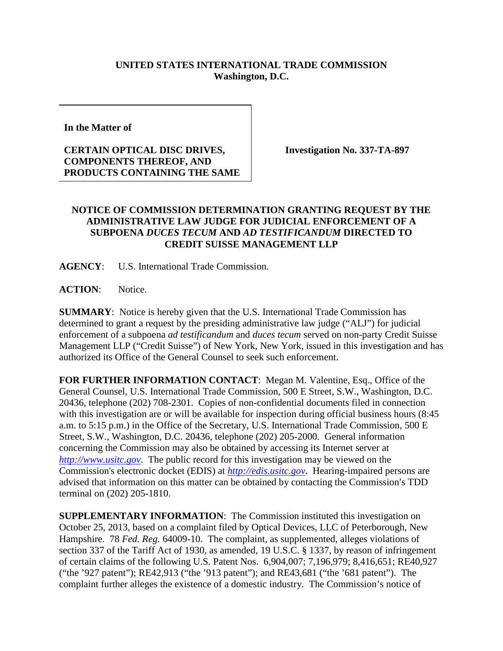## **UNITED STATES INTERNATIONAL TRADE COMMISSION Washington, D.C.**

**In the Matter of** 

## **CERTAIN OPTICAL DISC DRIVES, COMPONENTS THEREOF, AND PRODUCTS CONTAINING THE SAME**

**Investigation No. 337-TA-897**

## **NOTICE OF COMMISSION DETERMINATION GRANTING REQUEST BY THE ADMINISTRATIVE LAW JUDGE FOR JUDICIAL ENFORCEMENT OF A SUBPOENA** *DUCES TECUM* **AND** *AD TESTIFICANDUM* **DIRECTED TO CREDIT SUISSE MANAGEMENT LLP**

**AGENCY**: U.S. International Trade Commission.

**ACTION**: Notice.

**SUMMARY**: Notice is hereby given that the U.S. International Trade Commission has determined to grant a request by the presiding administrative law judge ("ALJ") for judicial enforcement of a subpoena *ad testificandum* and *duces tecum* served on non-party Credit Suisse Management LLP ("Credit Suisse") of New York, New York, issued in this investigation and has authorized its Office of the General Counsel to seek such enforcement.

**FOR FURTHER INFORMATION CONTACT**: Megan M. Valentine, Esq., Office of the General Counsel, U.S. International Trade Commission, 500 E Street, S.W., Washington, D.C. 20436, telephone (202) 708-2301. Copies of non-confidential documents filed in connection with this investigation are or will be available for inspection during official business hours (8:45) a.m. to 5:15 p.m.) in the Office of the Secretary, U.S. International Trade Commission, 500 E Street, S.W., Washington, D.C. 20436, telephone (202) 205-2000. General information concerning the Commission may also be obtained by accessing its Internet server at *[http://www.usitc.gov](http://www.usitc.gov/)*. The public record for this investigation may be viewed on the Commission's electronic docket (EDIS) at *[http://edis.usitc.gov](http://edis.usitc.gov/)*. Hearing-impaired persons are advised that information on this matter can be obtained by contacting the Commission's TDD terminal on (202) 205-1810.

**SUPPLEMENTARY INFORMATION**: The Commission instituted this investigation on October 25, 2013, based on a complaint filed by Optical Devices, LLC of Peterborough, New Hampshire. 78 *Fed. Reg.* 64009-10. The complaint, as supplemented, alleges violations of section 337 of the Tariff Act of 1930, as amended, 19 U.S.C. § 1337, by reason of infringement of certain claims of the following U.S. Patent Nos. 6,904,007; 7,196,979; 8,416,651; RE40,927 ("the '927 patent"); RE42,913 ("the '913 patent"); and RE43,681 ("the '681 patent"). The complaint further alleges the existence of a domestic industry. The Commission's notice of